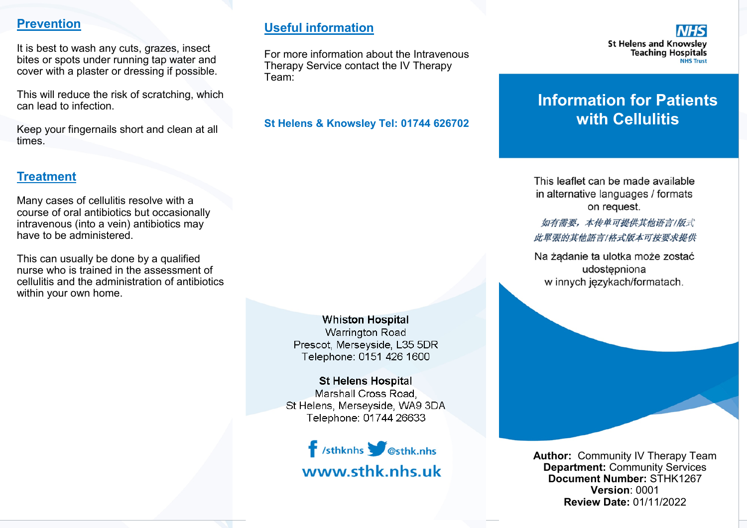#### **Prevention**

It is best to wash any cuts, grazes, insect bites or spots under running tap water and cover with a plaster or dressing if possible.

This will reduce the risk of scratching, which can lead to infection.

Keep your fingernails short and clean at all times.

#### **Treatment**

Many cases of cellulitis resolve with a course of oral antibiotics but occasionally intravenous (into a vein) antibiotics may have to be administered.

This can usually be done by a qualified nurse who is trained in the assessment of cellulitis and the administration of antibiotics within your own home.

## **Useful information**

For more information about the Intravenous Therapy Service contact the IV Therapy Team:

**St Helens & Knowsley Tel: 01744 626702**



# **Information for Patients with Cellulitis**

This leaflet can be made available in alternative languages / formats on request.

如有需要,本传单可提供其他语言/版式 此單張的其他語言/格式版本可按要求提供

Na żądanie ta ulotka może zostać udostepniona w innych językach/formatach.

**Whiston Hospital Warrington Road** Prescot, Merseyside, L35 5DR Telephone: 0151 426 1600

**St Helens Hospital** Marshall Cross Road St Helens, Merseyside, WA9 3DA Telephone: 01744 26633



**Author:** Community IV Therapy Team **Department:** Community Services **Document Number:** STHK1267 **Version**: 0001 **Review Date:** 01/11/2022